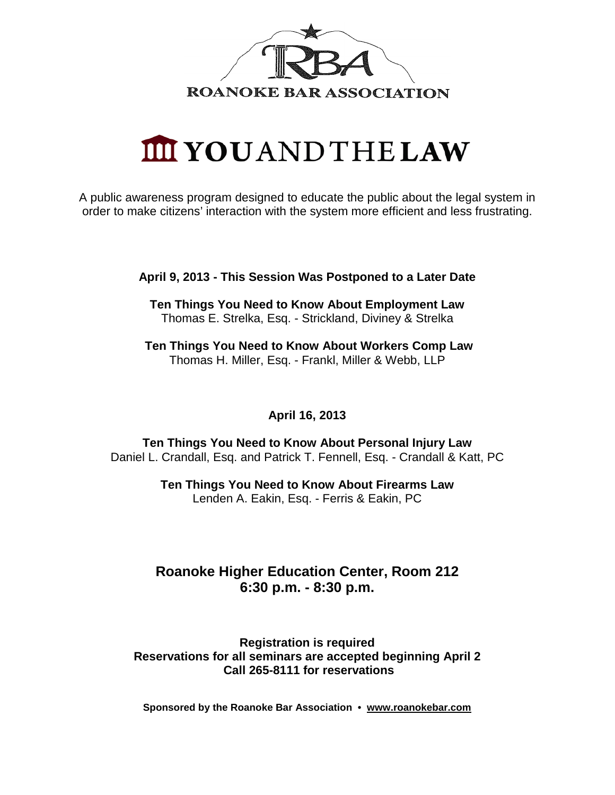

# **IIII YOUANDTHELAW**

A public awareness program designed to educate the public about the legal system in order to make citizens' interaction with the system more efficient and less frustrating.

**April 9, 2013 - This Session Was Postponed to a Later Date**

**Ten Things You Need to Know About Employment Law** Thomas E. Strelka, Esq. - Strickland, Diviney & Strelka

**Ten Things You Need to Know About Workers Comp Law** Thomas H. Miller, Esq. - Frankl, Miller & Webb, LLP

### **April 16, 2013**

**Ten Things You Need to Know About Personal Injury Law** Daniel L. Crandall, Esq. and Patrick T. Fennell, Esq. - Crandall & Katt, PC

> **Ten Things You Need to Know About Firearms Law** Lenden A. Eakin, Esq. - Ferris & Eakin, PC

### **Roanoke Higher Education Center, Room 212 6:30 p.m. - 8:30 p.m.**

#### **Registration is required Reservations for all seminars are accepted beginning April 2 Call 265-8111 for reservations**

**Sponsored by the Roanoke Bar Association • [www.roanokebar.com](http://www.roanokebar.com/)**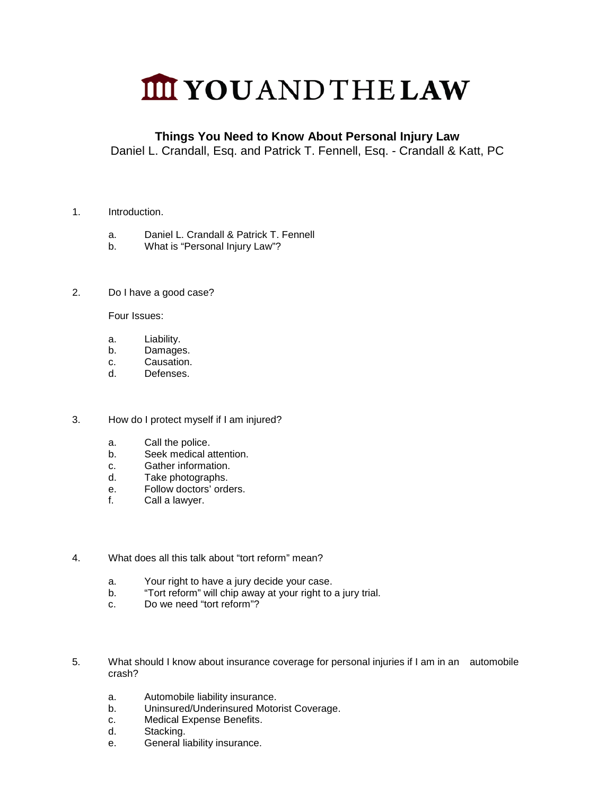## **IIII YOUANDTHELAW**

### **Things You Need to Know About Personal Injury Law**

Daniel L. Crandall, Esq. and Patrick T. Fennell, Esq. - Crandall & Katt, PC

- 1. Introduction.
	- a. Daniel L. Crandall & Patrick T. Fennell
	- b. What is "Personal Injury Law"?
- 2. Do I have a good case?

Four Issues:

- a. Liability.
- b. Damages.
- c. Causation.
- d. Defenses.
- 3. How do I protect myself if I am injured?
	- a. Call the police.
	- b. Seek medical attention.
	- c. Gather information.
	- d. Take photographs.
	- e. Follow doctors' orders.
	- f. Call a lawyer.
- 4. What does all this talk about "tort reform" mean?
	- a. Your right to have a jury decide your case.
	- b. "Tort reform" will chip away at your right to a jury trial.
	- c. Do we need "tort reform"?
- 5. What should I know about insurance coverage for personal injuries if I am in an automobile crash?
	- a. Automobile liability insurance.
	- b. Uninsured/Underinsured Motorist Coverage.
	- c. Medical Expense Benefits.
	- d. Stacking.
	- e. General liability insurance.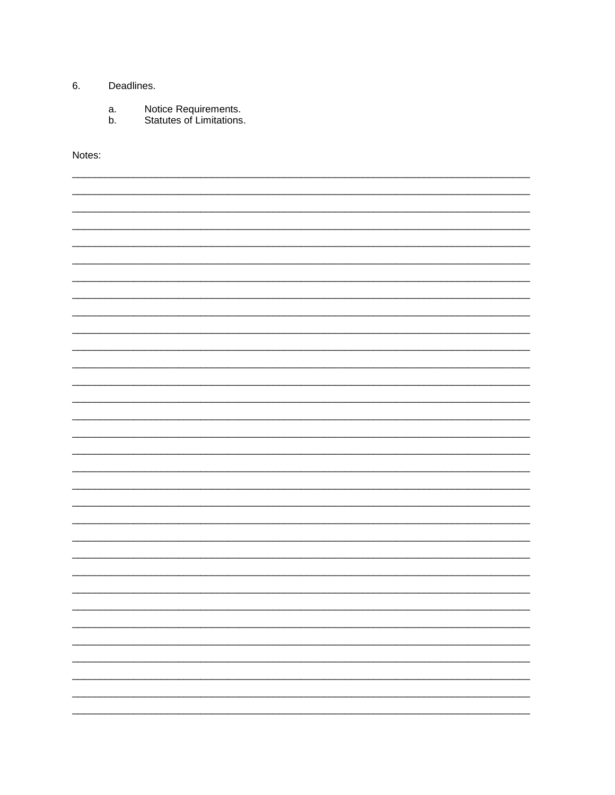#### 6. Deadlines.

- Notice Requirements.<br>Statutes of Limitations. a.
- b.

Notes:

L,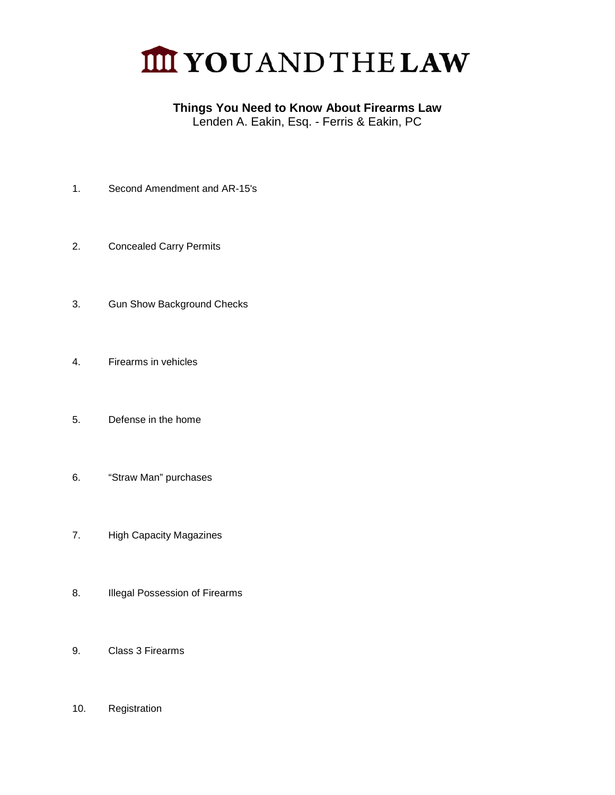

### **Things You Need to Know About Firearms Law**

Lenden A. Eakin, Esq. - Ferris & Eakin, PC

- 1. Second Amendment and AR-15's
- 2. Concealed Carry Permits
- 3. Gun Show Background Checks
- 4. Firearms in vehicles
- 5. Defense in the home
- 6. "Straw Man" purchases
- 7. High Capacity Magazines
- 8. Illegal Possession of Firearms
- 9. Class 3 Firearms
- 10. Registration